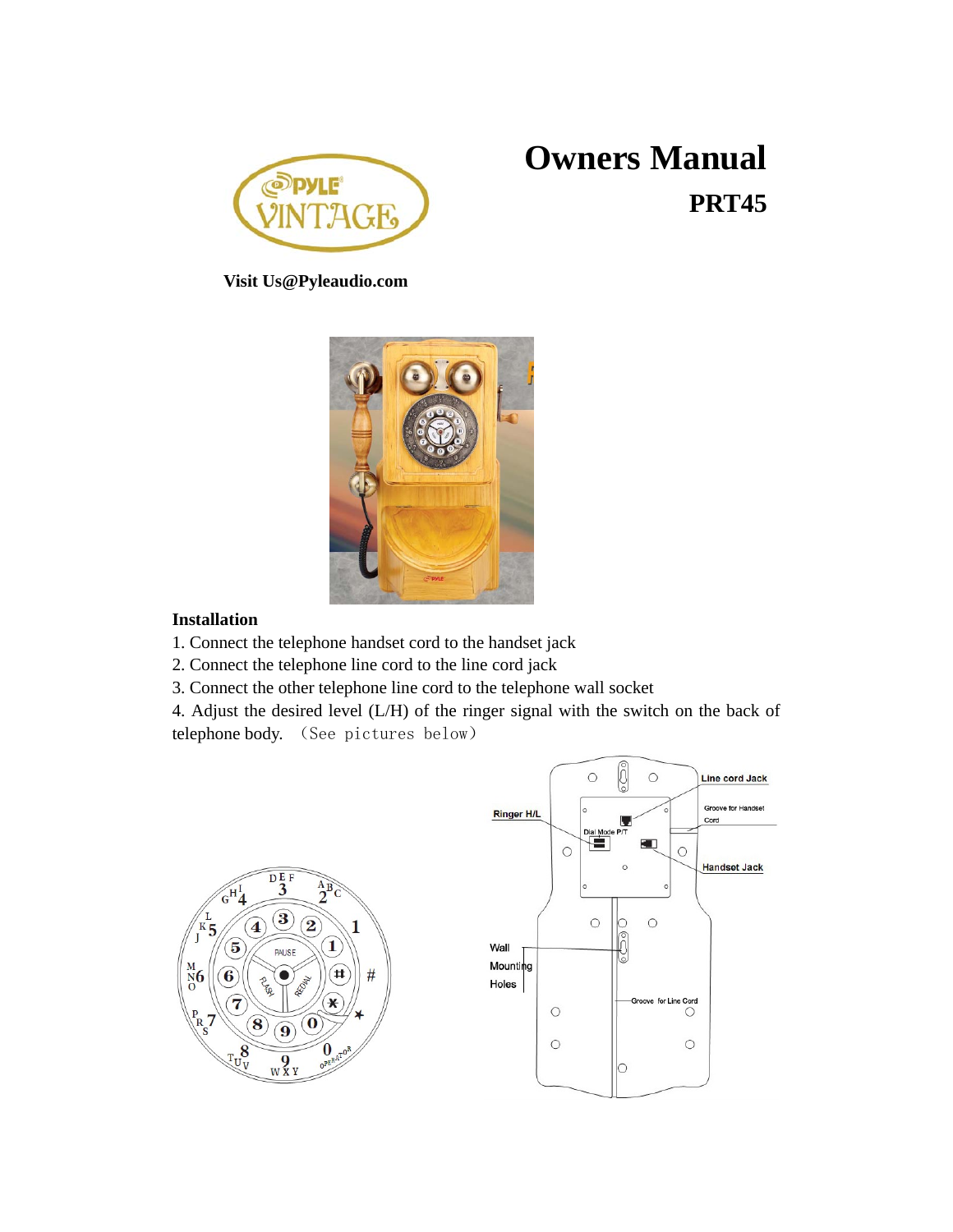

# **Owners Manual PRT45**

**Visit Us@Pyleaudio.com**



#### **Installation**

- 1. Connect the telephone handset cord to the handset jack
- 2. Connect the telephone line cord to the line cord jack
- 3. Connect the other telephone line cord to the telephone wall socket

4. Adjust the desired level (L/H) of the ringer signal with the switch on the back of telephone body. (See pictures below)

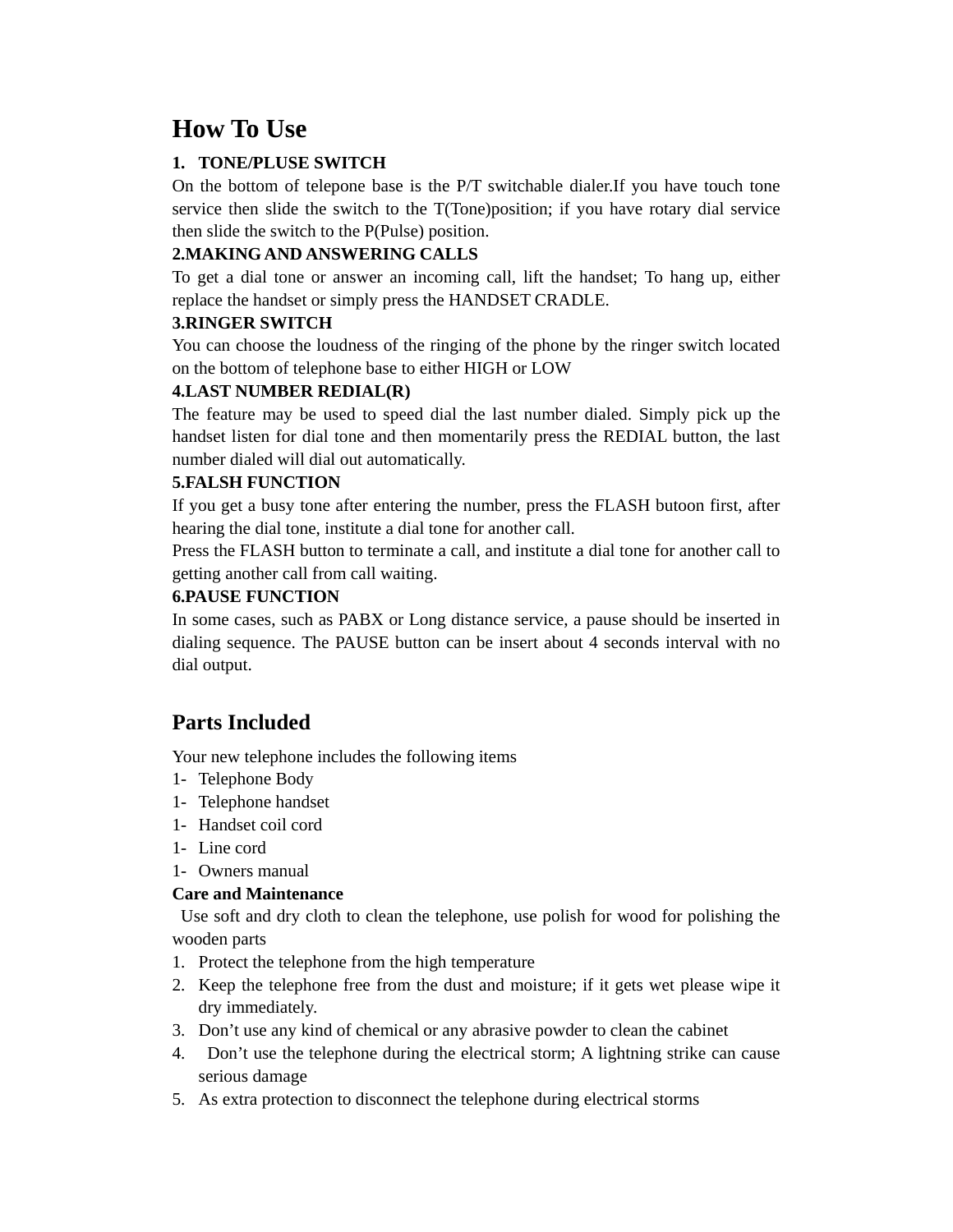## **How To Use**

#### **1. TONE/PLUSE SWITCH**

On the bottom of telepone base is the P/T switchable dialer.If you have touch tone service then slide the switch to the T(Tone)position; if you have rotary dial service then slide the switch to the P(Pulse) position.

#### **2.MAKING AND ANSWERING CALLS**

To get a dial tone or answer an incoming call, lift the handset; To hang up, either replace the handset or simply press the HANDSET CRADLE.

#### **3.RINGER SWITCH**

You can choose the loudness of the ringing of the phone by the ringer switch located on the bottom of telephone base to either HIGH or LOW

#### **4.LAST NUMBER REDIAL(R)**

The feature may be used to speed dial the last number dialed. Simply pick up the handset listen for dial tone and then momentarily press the REDIAL button, the last number dialed will dial out automatically.

#### **5.FALSH FUNCTION**

If you get a busy tone after entering the number, press the FLASH butoon first, after hearing the dial tone, institute a dial tone for another call.

Press the FLASH button to terminate a call, and institute a dial tone for another call to getting another call from call waiting.

#### **6.PAUSE FUNCTION**

In some cases, such as PABX or Long distance service, a pause should be inserted in dialing sequence. The PAUSE button can be insert about 4 seconds interval with no dial output.

### **Parts Included**

Your new telephone includes the following items

- 1- Telephone Body
- 1- Telephone handset
- 1- Handset coil cord
- 1- Line cord
- 1- Owners manual

#### **Care and Maintenance**

 Use soft and dry cloth to clean the telephone, use polish for wood for polishing the wooden parts

- 1. Protect the telephone from the high temperature
- 2. Keep the telephone free from the dust and moisture; if it gets wet please wipe it dry immediately.
- 3. Don't use any kind of chemical or any abrasive powder to clean the cabinet
- 4. Don't use the telephone during the electrical storm; A lightning strike can cause serious damage
- 5. As extra protection to disconnect the telephone during electrical storms